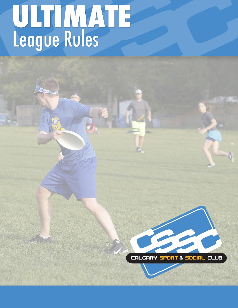# ULTIMATE

CALCARY SPORT & SOCIAL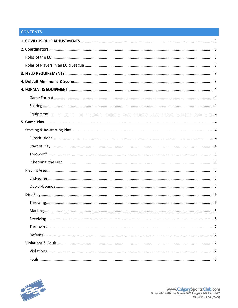# **CONTENTS**

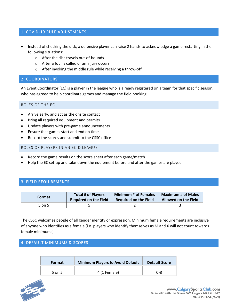# <span id="page-2-0"></span>1. COVID-19 RULE ADJUSTMENTS

- Instead of checking the disk, a defensive player can raise 2 hands to acknowledge a game restarting in the following situations:
	- o After the disc travels out-of-bounds
	- o After a foul is called or an injury occurs
	- o After invoking the middle rule while receiving a throw-off

# <span id="page-2-1"></span>2. COORDINATORS

An Event Coordinator (EC) is a player in the league who is already registered on a team for that specific season, who has agreed to help coordinate games and manage the field booking.

# <span id="page-2-2"></span>ROLES OF THE EC

- Arrive early, and act as the onsite contact
- Bring all required equipment and permits
- Update players with pre-game announcements
- Ensure that games start and end on time
- Record the scores and submit to the CSSC office

## <span id="page-2-3"></span>ROLES OF PLAYERS IN AN EC'D LEAGUE

- Record the game results on the score sheet after each game/match
- Help the EC set-up and take-down the equipment before and after the games are played

# <span id="page-2-4"></span>3. FIELD REQUIREMENTS

| Format | <b>Total # of Players</b>    | <b>Minimum # of Females</b>  | <b>Maximum # of Males</b>   |
|--------|------------------------------|------------------------------|-----------------------------|
|        | <b>Required on the Field</b> | <b>Required on the Field</b> | <b>Allowed on the Field</b> |
| 5 on 5 |                              |                              |                             |

The CSSC welcomes people of all gender identity or expression. Minimum female requirements are inclusive of anyone who identifies as a female (i.e. players who identify themselves as M and X will not count towards female minimums).

# <span id="page-2-5"></span>4. DEFAULT MINIMUMS & SCORES

| <b>Format</b> | <b>Minimum Players to Avoid Default</b> | <b>Default Score</b> |
|---------------|-----------------------------------------|----------------------|
| 5 on 5        | 4 (1 Female)                            | $0 - 8$              |

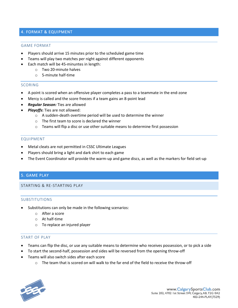# <span id="page-3-0"></span>4. FORMAT & EQUIPMENT

#### <span id="page-3-1"></span>GAME FORMAT

- Players should arrive 15 minutes prior to the scheduled game time
- Teams will play two matches per night against different opponents
- Each match will be 45-minuntes in length:
	- o Two 20-minute halves
	- o 5-minute half-time

#### <span id="page-3-2"></span>SCORING

- A point is scored when an offensive player completes a pass to a teammate in the end-zone
- Mercy is called and the score freezes if a team gains an 8-point lead
- *Regular Season:* Ties are allowed
- *Playoffs***:** Ties are not allowed:
	- o A sudden-death overtime period will be used to determine the winner
	- o The first team to score is declared the winner
	- o Teams will flip a disc or use other suitable means to determine first possession

## <span id="page-3-3"></span>EQUIPMENT

- Metal cleats are not permitted in CSSC Ultimate Leagues
- Players should bring a light and dark shirt to each game
- The Event Coordinator will provide the warm-up and game discs, as well as the markers for field set-up

# <span id="page-3-4"></span>5. GAME PLAY

#### <span id="page-3-6"></span><span id="page-3-5"></span>STARTING & RE-STARTING PLAY

#### SUBSTITUTIONS

- Substitutions can only be made in the following scenarios:
	- o After a score
	- o At half-time
	- o To replace an injured player

# <span id="page-3-7"></span>START OF PLAY

- Teams can flip the disc, or use any suitable means to determine who receives possession, or to pick a side
- To start the second-half, possession and sides will be reversed from the opening throw-off
- Teams will also switch sides after each score
	- $\circ$  The team that is scored on will walk to the far end of the field to receive the throw-off

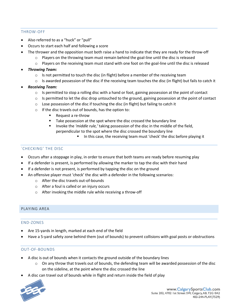## <span id="page-4-0"></span>THROW-OFF

- Also referred to as a "huck" or "pull"
- Occurs to start each half and following a score
- The thrower and the opposition must both raise a hand to indicate that they are ready for the throw-off
	- $\circ$  Players on the throwing team must remain behind the goal-line until the disc is released
	- $\circ$  Players on the receiving team must stand with one foot on the goal-line until the disc is released
- *Throwing Team:*
	- $\circ$  Is not permitted to touch the disc (in flight) before a member of the receiving team
	- $\circ$  Is awarded possession of the disc if the receiving team touches the disc (in flight) but fails to catch it
- *Receiving Team:*
	- $\circ$  Is permitted to stop a rolling disc with a hand or foot, gaining possession at the point of contact
	- $\circ$  Is permitted to let the disc drop untouched to the ground, gaining possession at the point of contact
	- o Lose possession of the disc if touching the disc (in flight) but failing to catch it
	- o If the disc travels out of bounds, has the option to:
		- Request a re-throw
		- Take possession at the spot where the disc crossed the boundary line
		- Invoke the 'middle rule,' taking possession of the disc in the middle of the field, perpendicular to the spot where the disc crossed the boundary line
			- In this case, the receiving team must 'check' the disc before playing it

# <span id="page-4-1"></span>`CHECKING' THE DISC

- Occurs after a stoppage in play, in order to ensure that both teams are ready before resuming play
- If a defender is present, is performed by allowing the marker to tap the disc with their hand
- If a defender is not present, is performed by tapping the disc on the ground
- An offensive player must 'check' the disc with a defender in the following scenarios:
	- o After the disc travels out-of-bounds
	- o After a foul is called or an injury occurs
	- o After invoking the middle rule while receiving a throw-off

#### <span id="page-4-3"></span><span id="page-4-2"></span>PLAYING AREA

#### END-ZONES

- Are 15-yards in length, marked at each end of the field
- Have a 5-yard safety zone behind them (out of bounds) to prevent collisions with goal posts or obstructions

#### <span id="page-4-4"></span>OUT-OF-BOUNDS

- A disc is out of bounds when it contacts the ground outside of the boundary lines
	- $\circ$  On any throw that travels out of bounds, the defending team will be awarded possession of the disc on the sideline, at the point where the disc crossed the line
- A disc can travel out of bounds while in flight and return inside the field of play

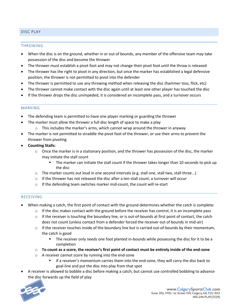# <span id="page-5-1"></span><span id="page-5-0"></span>DISC PLAY

#### THROWING

- When the disc is on the ground, whether in or out of bounds, any member of the offensive team may take possession of the disc and become the thrower
- The thrower must establish a pivot foot and may not change their pivot foot until the throw is released
- The thrower has the right to pivot in any direction, but once the marker has established a legal defensive position, the thrower is not permitted to pivot into the defender
- The thrower is permitted to use any throwing method when releasing the disc (hammer toss, flick, etc)
- The thrower cannot make contact with the disc again until at least one other player has touched the disc
- If the thrower drops the disc unimpeded, it is considered an incomplete pass, and a turnover occurs

#### <span id="page-5-2"></span>MARKING

- The defending team is permitted to have one player marking or guarding the thrower
- The marker must allow the thrower a full disc length of space to make a play
	- $\circ$  This includes the marker's arms, which cannot wrap around the thrower in anyway
- The marker is not permitted to straddle the pivot foot of the thrower, or use their arms to prevent the thrower from pivoting
- **Counting Stalls:**
	- $\circ$  Once the marker is in a stationary position, and the thrower has possession of the disc, the marker may initiate the stall count
		- **The marker can initiate the stall count if the thrower takes longer than 10 seconds to pick up** the disc
	- o The marker counts out loud in one second intervals (e.g. stall one, stall two, stall three...)
	- $\circ$  If the thrower has not released the disc after a ten-stall count, a turnover will occur
	- o If the defending team switches marker mid-count, the count will re-start

#### <span id="page-5-3"></span>RECEIVING

- When making a catch, the first point of contact with the ground determines whether the catch is complete:
	- $\circ$  If the disc makes contact with the ground before the receiver has control, it is an incomplete pass
	- $\circ$  If the receiver is touching the boundary line, or is out-of-bounds at first point of contact, the catch does not count (unless contact from a defender forced the receiver out of bounds in mid-air)
	- $\circ$  If the receiver touches inside of the boundary line but is carried out-of-bounds by their momentum, the catch is good
		- The receiver only needs one foot planted in-bounds while possessing the disc for it to be a completion
	- o **To count as a score, the receiver's first point of contact must be entirely inside of the end-zone**
	- o A receiver cannot score by running into the end-zone
		- If a receiver's momentum carries them into the end-zone, they will carry the disc back to goal-line and put the disc into play from that spot
- A receiver is allowed to bobble a disc before making a catch, but cannot use controlled bobbling to advance the disc forwards up the field of play

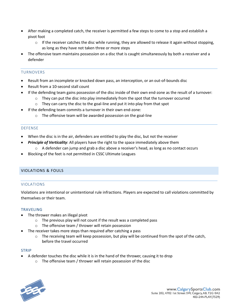- After making a completed catch, the receiver is permitted a few steps to come to a stop and establish a pivot foot
	- $\circ$  If the receiver catches the disc while running, they are allowed to release it again without stopping, as long as they have not taken three or more steps
- The offensive team maintains possession on a disc that is caught simultaneously by both a receiver and a defender

## <span id="page-6-0"></span>TURNOVERS

- Result from an incomplete or knocked down pass, an interception, or an out-of-bounds disc
- Result from a 10-second stall count
- If the defending team gains possession of the disc inside of their own end-zone as the result of a turnover:
	- $\circ$  They can put the disc into play immediately from the spot that the turnover occurred
	- o They can carry the disc to the goal-line and put it into play from that spot
- If the defending team commits a turnover in their own end-zone:
	- o The offensive team will be awarded possession on the goal-line

## <span id="page-6-1"></span>DEFENSE

- When the disc is in the air, defenders are entitled to play the disc, but not the receiver
- **Principle of Verticality:** All players have the right to the space immediately above them
	- $\circ$  A defender can jump and grab a disc above a receiver's head, as long as no contact occurs
- Blocking of the feet is not permitted in CSSC Ultimate Leagues

# <span id="page-6-3"></span><span id="page-6-2"></span>VIOLATIONS & FOULS

#### VIOLATIONS

Violations are intentional or unintentional rule infractions. Players are expected to call violations committed by themselves or their team.

#### TRAVELING

- The thrower makes an illegal pivot
	- o The previous play will not count if the result was a completed pass
	- o The offensive team / thrower will retain possession
- The receiver takes more steps than required after catching a pass
	- $\circ$  The receiving team will keep possession, but play will be continued from the spot of the catch, before the travel occurred

#### STRIP

- A defender touches the disc while it is in the hand of the thrower, causing it to drop
	- o The offensive team / thrower will retain possession of the disc